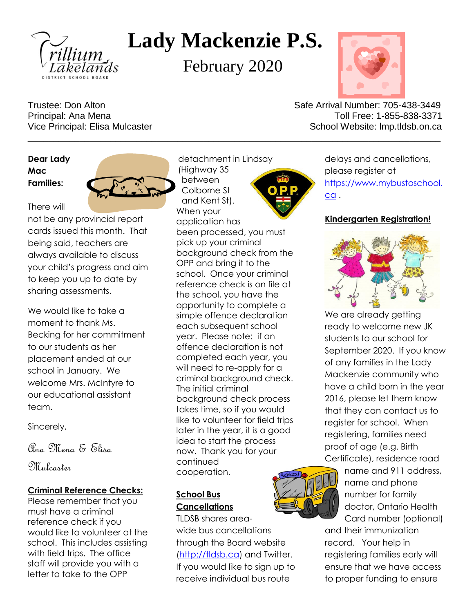

# **Lady Mackenzie P.S.**

February 2020

\_\_\_\_\_\_\_\_\_\_\_\_\_\_\_\_\_\_\_\_\_\_\_\_\_\_\_\_\_\_\_\_\_\_\_\_\_\_\_\_\_\_\_\_\_\_\_\_\_\_\_\_\_\_\_\_\_\_\_\_\_\_\_\_\_\_\_\_\_\_\_\_\_\_\_\_\_\_\_\_



Trustee: Don Alton Safe Arrival Number: 705-438-3449 Principal: Ana Mena Toll Free: 1-855-838-3371 Vice Principal: Elisa Mulcaster School Website: lmp.tldsb.on.ca

**Dear Lady Mac Families:**

There will



not be any provincial report cards issued this month. That being said, teachers are always available to discuss your child's progress and aim to keep you up to date by sharing assessments.

We would like to take a moment to thank Ms. Becking for her commitment to our students as her placement ended at our school in January. We welcome Mrs. McIntyre to our educational assistant team.

Sincerely,

Pra Mena & Elisa

Mulcaster

### **Criminal Reference Checks:**

Please remember that you must have a criminal reference check if you would like to volunteer at the school. This includes assisting with field trips. The office staff will provide you with a letter to take to the OPP

detachment in Lindsay (Highway 35 between Colborne St and Kent St). When your



application has been processed, you must pick up your criminal background check from the OPP and bring it to the school. Once your criminal reference check is on file at the school, you have the opportunity to complete a simple offence declaration each subsequent school year. Please note: if an offence declaration is not completed each year, you will need to re-apply for a criminal background check. The initial criminal background check process takes time, so if you would like to volunteer for field trips later in the year, it is a good idea to start the process now. Thank you for your continued cooperation.

## **School Bus Cancellations**

TLDSB shares areawide bus cancellations through the Board website [\(http://tldsb.ca\)](http://tldsb.ca/) and Twitter. If you would like to sign up to receive individual bus route

delays and cancellations, please register at [https://www.mybustoschool.](https://www.mybustoschool.ca/) [ca](https://www.mybustoschool.ca/) .

## **Kindergarten Registration!**



We are already getting ready to welcome new JK students to our school for September 2020. If you know of any families in the Lady Mackenzie community who have a child born in the year 2016, please let them know that they can contact us to register for school. When registering, families need proof of age (e.g. Birth Certificate), residence road



name and 911 address, name and phone number for family doctor, Ontario Health Card number (optional)

and their immunization record. Your help in registering families early will ensure that we have access to proper funding to ensure